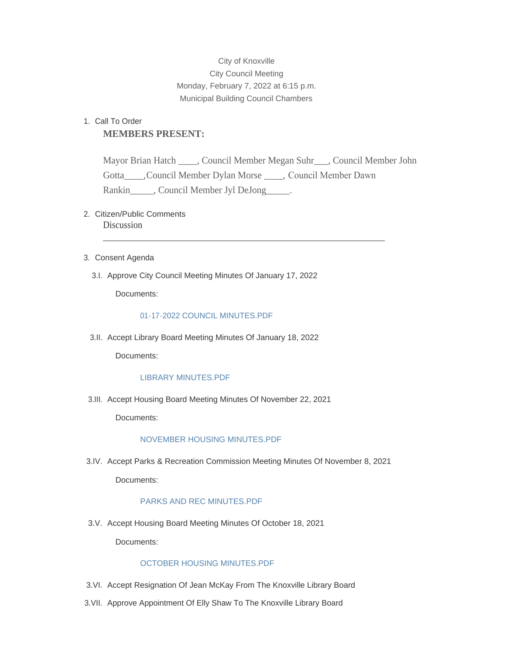# City of Knoxville City Council Meeting Monday, February 7, 2022 at 6:15 p.m. Municipal Building Council Chambers

# 1. Call To Order **MEMBERS PRESENT:**

Mayor Brian Hatch \_\_\_\_, Council Member Megan Suhr\_\_\_, Council Member John Gotta\_\_\_\_,Council Member Dylan Morse \_\_\_\_, Council Member Dawn Rankin Council Member Jyl DeJong

\_\_\_\_\_\_\_\_\_\_\_\_\_\_\_\_\_\_\_\_\_\_\_\_\_\_\_\_\_\_\_\_\_\_\_\_\_\_\_\_\_\_\_\_\_\_\_\_\_\_\_\_\_\_\_\_\_

# 2. Citizen/Public Comments **Discussion**

- 3. Consent Agenda
	- 3.I. Approve City Council Meeting Minutes Of January 17, 2022

Documents:

# [01-17-2022 COUNCIL MINUTES.PDF](http://www.knoxvilleia.gov/AgendaCenter/ViewFile/Item/5305?fileID=4234)

3.II. Accept Library Board Meeting Minutes Of January 18, 2022

Documents:

# [LIBRARY MINUTES.PDF](http://www.knoxvilleia.gov/AgendaCenter/ViewFile/Item/5304?fileID=4233)

3.III. Accept Housing Board Meeting Minutes Of November 22, 2021

Documents:

### [NOVEMBER HOUSING MINUTES.PDF](http://www.knoxvilleia.gov/AgendaCenter/ViewFile/Item/5303?fileID=4232)

3.IV. Accept Parks & Recreation Commission Meeting Minutes Of November 8, 2021

Documents:

# [PARKS AND REC MINUTES.PDF](http://www.knoxvilleia.gov/AgendaCenter/ViewFile/Item/5312?fileID=4236)

3.V. Accept Housing Board Meeting Minutes Of October 18, 2021

Documents:

# [OCTOBER HOUSING MINUTES.PDF](http://www.knoxvilleia.gov/AgendaCenter/ViewFile/Item/5302?fileID=4231)

- 3.VI. Accept Resignation Of Jean McKay From The Knoxville Library Board
- 3. VII. Approve Appointment Of Elly Shaw To The Knoxville Library Board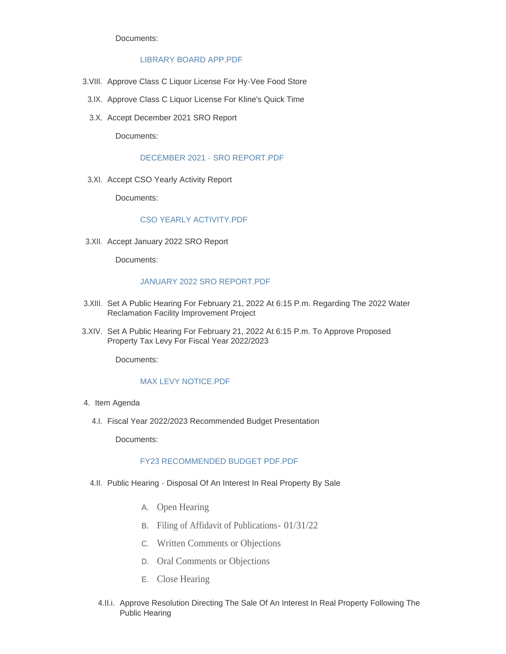Documents:

### [LIBRARY BOARD APP.PDF](http://www.knoxvilleia.gov/AgendaCenter/ViewFile/Item/5319?fileID=4242)

- 3. VIII. Approve Class C Liquor License For Hy-Vee Food Store
- 3.IX. Approve Class C Liquor License For Kline's Quick Time
- 3.X. Accept December 2021 SRO Report

Documents:

#### [DECEMBER 2021 - SRO REPORT.PDF](http://www.knoxvilleia.gov/AgendaCenter/ViewFile/Item/5301?fileID=4205)

3.XI. Accept CSO Yearly Activity Report

Documents:

## [CSO YEARLY ACTIVITY.PDF](http://www.knoxvilleia.gov/AgendaCenter/ViewFile/Item/5300?fileID=4204)

3.XII. Accept January 2022 SRO Report

Documents:

#### [JANUARY 2022 SRO REPORT.PDF](http://www.knoxvilleia.gov/AgendaCenter/ViewFile/Item/5314?fileID=4237)

- 3.XIII. Set A Public Hearing For February 21, 2022 At 6:15 P.m. Regarding The 2022 Water Reclamation Facility Improvement Project
- 3.XIV. Set A Public Hearing For February 21, 2022 At 6:15 P.m. To Approve Proposed Property Tax Levy For Fiscal Year 2022/2023

Documents:

## [MAX LEVY NOTICE.PDF](http://www.knoxvilleia.gov/AgendaCenter/ViewFile/Item/5313?fileID=4240)

- 4. Item Agenda
	- Fiscal Year 2022/2023 Recommended Budget Presentation 4.I.

Documents:

### [FY23 RECOMMENDED BUDGET PDF.PDF](http://www.knoxvilleia.gov/AgendaCenter/ViewFile/Item/5317?fileID=4241)

- 4.II. Public Hearing Disposal Of An Interest In Real Property By Sale
	- A. Open Hearing
	- B. Filing of Affidavit of Publications- 01/31/22
	- C. Written Comments or Objections
	- D. Oral Comments or Objections
	- E. Close Hearing
	- 4.II.i. Approve Resolution Directing The Sale Of An Interest In Real Property Following The Public Hearing